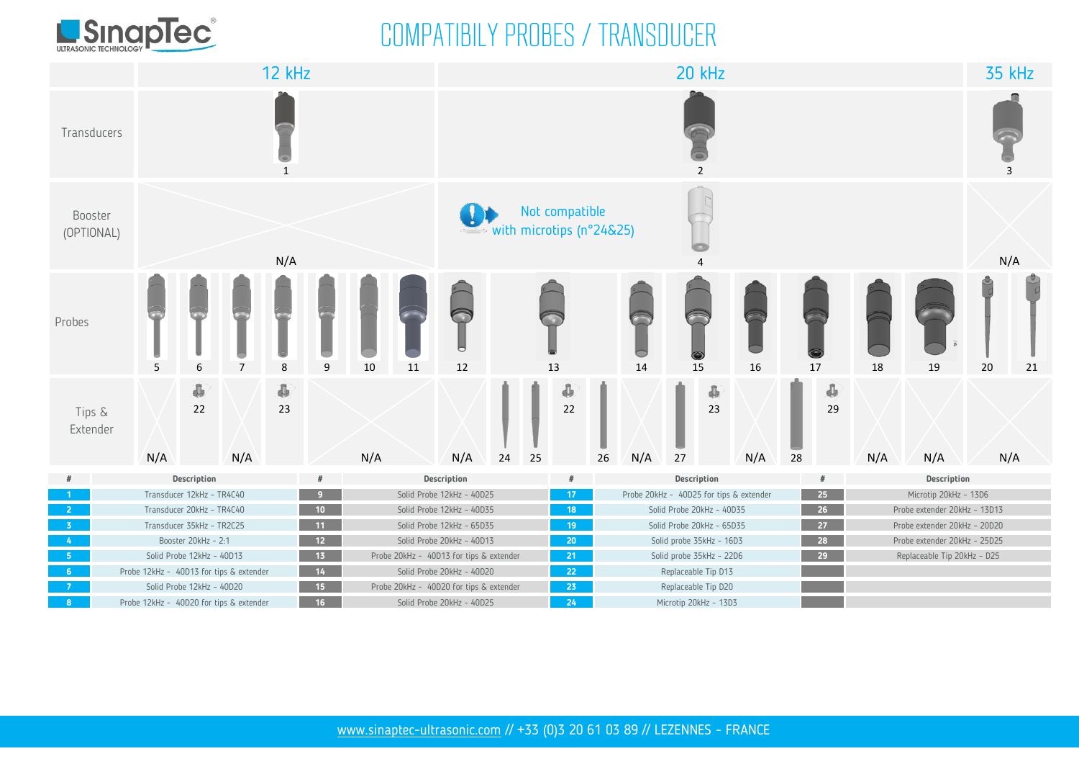

### COMPATIBILY PROBES / TRANSDUCER

|                       |     | <b>12 kHz</b>                                                                       |     |                    |   |     |                                                                      |                                                            |                                    | 20 kHz |             |                                                              |                                         |             |         |     |            |                                                 |     |                              |     |     |  |
|-----------------------|-----|-------------------------------------------------------------------------------------|-----|--------------------|---|-----|----------------------------------------------------------------------|------------------------------------------------------------|------------------------------------|--------|-------------|--------------------------------------------------------------|-----------------------------------------|-------------|---------|-----|------------|-------------------------------------------------|-----|------------------------------|-----|-----|--|
| Transducers           |     | $\mathbf{1}$                                                                        |     |                    |   |     |                                                                      |                                                            |                                    | 2      |             |                                                              |                                         |             |         |     |            |                                                 |     |                              |     |     |  |
| Booster<br>(OPTIONAL) |     | N/A                                                                                 |     |                    |   |     |                                                                      | $\mathbf{Q}$<br>Not compatible<br>with microtips (n°24&25) |                                    |        |             |                                                              | $\overline{a}$                          |             |         |     |            |                                                 |     |                              | N/A |     |  |
| Probes                | 5   | $\overline{7}$<br>6<br>8                                                            |     |                    | 9 | 10  | 11                                                                   | U<br>12<br>13                                              |                                    |        |             | 14                                                           | 15<br>16                                |             | 17      |     | 18         | 19                                              | 20  | 21                           |     |     |  |
| Tips &<br>Extender    | N/A | 4<br>22                                                                             | N/A | $\hat{\Phi}$<br>23 |   | N/A |                                                                      | N/A                                                        | $24\,$                             | 25     | ¢<br>$22\,$ | 26                                                           | N/A                                     | 27          | ¢<br>23 | N/A | ${\bf 28}$ | $\hat{\Phi}$<br>29                              | N/A | N/A                          |     | N/A |  |
| #                     |     | Description                                                                         |     |                    |   |     |                                                                      |                                                            | Description<br>#                   |        |             |                                                              |                                         | Description |         |     |            | Description                                     |     |                              |     |     |  |
| $-1$                  |     | Transducer 12kHz - TR4C40<br>و .                                                    |     |                    |   |     |                                                                      |                                                            | Solid Probe 12kHz - 40D25<br>$-17$ |        |             |                                                              | Probe 20kHz - 40D25 for tips & extender |             |         |     |            | 25                                              |     | Microtip 20kHz - 13D6        |     |     |  |
| $-2$                  |     | Transducer 20kHz - TR4C40<br>$-10$                                                  |     |                    |   |     |                                                                      | Solid Probe 12kHz - 40D35<br>18                            |                                    |        |             |                                                              | Solid Probe 20kHz - 40D35               |             |         |     |            | 26<br>Probe extender 20kHz - 13D13              |     |                              |     |     |  |
| $-3$                  |     | Transducer 35kHz - TR2C25<br>$-11$                                                  |     |                    |   |     | Solid Probe 12kHz - 65D35                                            |                                                            |                                    |        |             | $19 -$<br>Solid Probe 20kHz - 65D35                          |                                         |             |         |     |            | 27 <sub>2</sub><br>Probe extender 20kHz - 20D20 |     |                              |     |     |  |
| $-4$                  |     | Booster 20kHz - 2:1<br>12                                                           |     |                    |   |     | Solid Probe 20kHz - 40D13                                            |                                                            |                                    |        |             | $20 -$<br>Solid probe 35kHz - 16D3                           |                                         |             |         |     |            | $-28$                                           |     | Probe extender 20kHz - 25D25 |     |     |  |
| $-5$                  |     | Solid Probe 12kHz - 40D13<br>$-13$                                                  |     |                    |   |     | Probe 20kHz - 40D13 for tips & extender                              |                                                            |                                    |        |             | $-21$<br>Solid probe 35kHz - 22D6                            |                                         |             |         |     |            | $29 -$<br>Replaceable Tip 20kHz - D25           |     |                              |     |     |  |
| $-6$<br>$-7$          |     | $-14$<br>Probe 12kHz - 40D13 for tips & extender<br>Solid Probe 12kHz - 40D20<br>15 |     |                    |   |     | Solid Probe 20kHz - 40D20<br>Probe 20kHz - 40D20 for tips & extender |                                                            |                                    |        |             | $-22$<br>Replaceable Tip D13                                 |                                         |             |         |     |            |                                                 |     |                              |     |     |  |
| 8 <sup>2</sup>        |     | 16<br>Probe 12kHz - 40D20 for tips & extender                                       |     |                    |   |     | Solid Probe 20kHz - 40D25                                            |                                                            |                                    |        |             | $23 -$<br>Replaceable Tip D20<br>24<br>Microtip 20kHz - 13D3 |                                         |             |         |     |            |                                                 |     |                              |     |     |  |